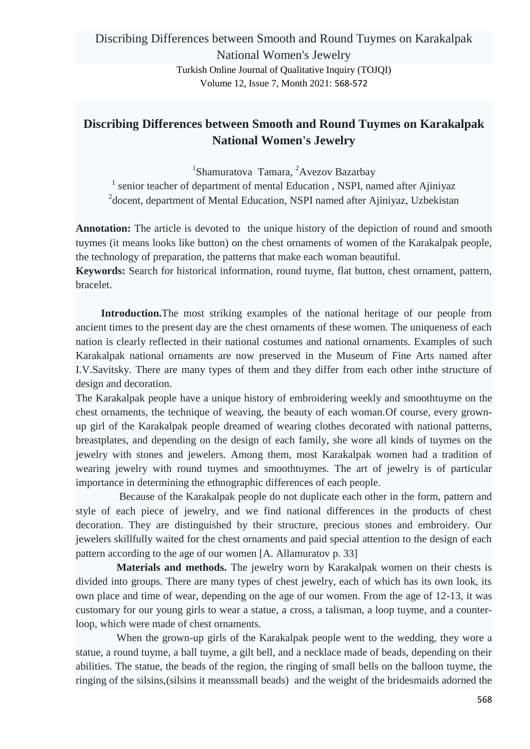## **Discribing Differences between Smooth and Round Tuymes on Karakalpak National Women's Jewelry**

1 Shamuratova Tamara, <sup>2</sup>Avezov Bazarbay <sup>1</sup> senior teacher of department of mental Education, NSPI, named after Ajiniyaz <sup>2</sup> docent, department of Mental Education, NSPI named after Ajiniyaz, Uzbekistan

Annotation: The article is devoted to the unique history of the depiction of round and smooth tuymes (it means looks like button) on the chest ornaments of women of the Karakalpak people, the technology of preparation, the patterns that make each woman beautiful.

**Keywords:** Search for historical information, round tuyme, flat button, chest ornament, pattern, bracelet.

**Introduction.**The most striking examples of the national heritage of our people from ancient times to the present day are the chest ornaments of these women. The uniqueness of each nation is clearly reflected in their national costumes and national ornaments. Examples of such Karakalpak national ornaments are now preserved in the Museum of Fine Arts named after I.V.Savitsky. There are many types of them and they differ from each other inthe structure of design and decoration.

The Karakalpak people have a unique history of embroidering weekly and smoothtuyme on the chest ornaments, the technique of weaving, the beauty of each woman.Of course, every grownup girl of the Karakalpak people dreamed of wearing clothes decorated with national patterns, breastplates, and depending on the design of each family, she wore all kinds of tuymes on the jewelry with stones and jewelers. Among them, most Karakalpak women had a tradition of wearing jewelry with round tuymes and smoothtuymes. The art of jewelry is of particular importance in determining the ethnographic differences of each people.

Because of the Karakalpak people do not duplicate each other in the form, pattern and style of each piece of jewelry, and we find national differences in the products of chest decoration. They are distinguished by their structure, precious stones and embroidery. Our jewelers skillfully waited for the chest ornaments and paid special attention to the design of each pattern according to the age of our women [A. Allamuratov p. 33]

**Materials and methods.** The jewelry worn by Karakalpak women on their chests is divided into groups. There are many types of chest jewelry, each of which has its own look, its own place and time of wear, depending on the age of our women. From the age of 12-13, it was customary for our young girls to wear a statue, a cross, a talisman, a loop tuyme, and a counterloop, which were made of chest ornaments.

When the grown-up girls of the Karakalpak people went to the wedding, they wore a statue, a round tuyme, a ball tuyme, a gilt bell, and a necklace made of beads, depending on their abilities. The statue, the beads of the region, the ringing of small bells on the balloon tuyme, the ringing of the silsins,(silsins it meanssmall beads) and the weight of the bridesmaids adorned the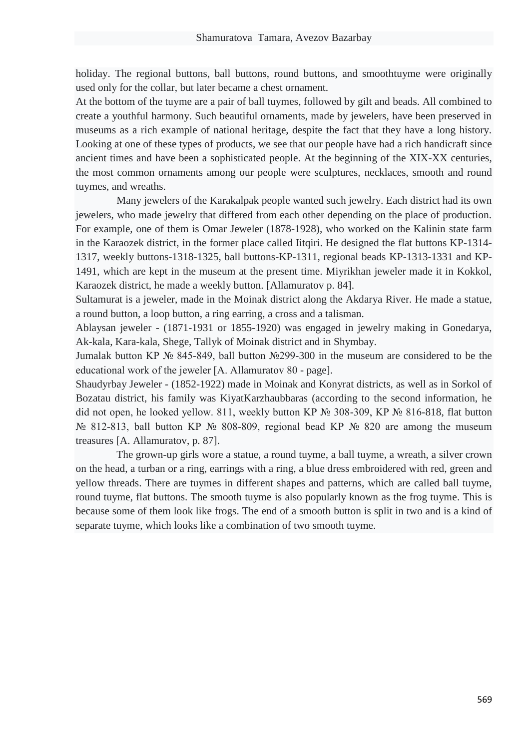holiday. The regional buttons, ball buttons, round buttons, and smoothtuyme were originally used only for the collar, but later became a chest ornament.

At the bottom of the tuyme are a pair of ball tuymes, followed by gilt and beads. All combined to create a youthful harmony. Such beautiful ornaments, made by jewelers, have been preserved in museums as a rich example of national heritage, despite the fact that they have a long history. Looking at one of these types of products, we see that our people have had a rich handicraft since ancient times and have been a sophisticated people. At the beginning of the XIX-XX centuries, the most common ornaments among our people were sculptures, necklaces, smooth and round tuymes, and wreaths.

Many jewelers of the Karakalpak people wanted such jewelry. Each district had its own jewelers, who made jewelry that differed from each other depending on the place of production. For example, one of them is Omar Jeweler (1878-1928), who worked on the Kalinin state farm in the Karaozek district, in the former place called Iitqiri. He designed the flat buttons KP-1314- 1317, weekly buttons-1318-1325, ball buttons-KP-1311, regional beads KP-1313-1331 and KP-1491, which are kept in the museum at the present time. Miyrikhan jeweler made it in Kokkol, Karaozek district, he made a weekly button. [Allamuratov p. 84].

Sultamurat is a jeweler, made in the Moinak district along the Akdarya River. He made a statue, a round button, a loop button, a ring earring, a cross and a talisman.

Ablaysan jeweler - (1871-1931 or 1855-1920) was engaged in jewelry making in Gonedarya, Ak-kala, Kara-kala, Shege, Tallyk of Moinak district and in Shymbay.

Jumalak button KP № 845-849, ball button №299-300 in the museum are considered to be the educational work of the jeweler [A. Allamuratov 80 - page].

Shaudyrbay Jeweler - (1852-1922) made in Moinak and Konyrat districts, as well as in Sorkol of Bozatau district, his family was KiyatKarzhaubbaras (according to the second information, he did not open, he looked yellow. 811, weekly button KP № 308-309, KP № 816-818, flat button № 812-813, ball button KP № 808-809, regional bead KP № 820 are among the museum treasures [A. Allamuratov, p. 87].

The grown-up girls wore a statue, a round tuyme, a ball tuyme, a wreath, a silver crown on the head, a turban or a ring, earrings with a ring, a blue dress embroidered with red, green and yellow threads. There are tuymes in different shapes and patterns, which are called ball tuyme, round tuyme, flat buttons. The smooth tuyme is also popularly known as the frog tuyme. This is because some of them look like frogs. The end of a smooth button is split in two and is a kind of separate tuyme, which looks like a combination of two smooth tuyme.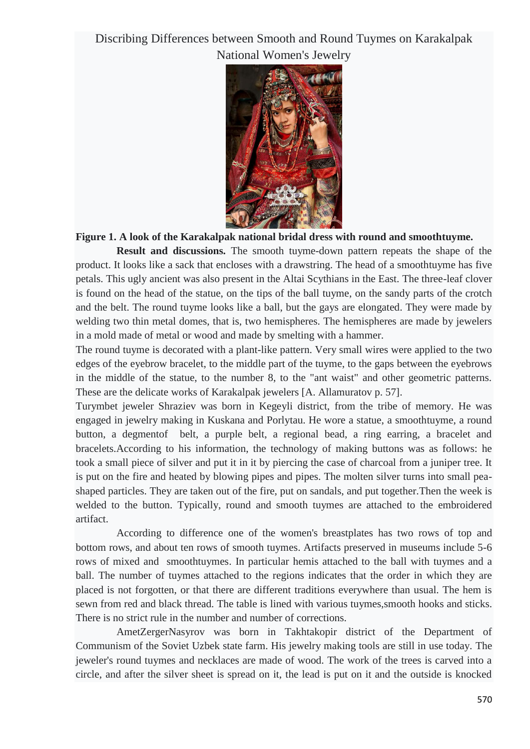## Discribing Differences between Smooth and Round Tuymes on Karakalpak National Women's Jewelry



### **Figure 1. A look of the Karakalpak national bridal dress with round and smoothtuyme.**

**Result and discussions.** The smooth tuyme-down pattern repeats the shape of the product. It looks like a sack that encloses with a drawstring. The head of a smoothtuyme has five petals. This ugly ancient was also present in the Altai Scythians in the East. The three-leaf clover is found on the head of the statue, on the tips of the ball tuyme, on the sandy parts of the crotch and the belt. The round tuyme looks like a ball, but the gays are elongated. They were made by welding two thin metal domes, that is, two hemispheres. The hemispheres are made by jewelers in a mold made of metal or wood and made by smelting with a hammer.

The round tuyme is decorated with a plant-like pattern. Very small wires were applied to the two edges of the eyebrow bracelet, to the middle part of the tuyme, to the gaps between the eyebrows in the middle of the statue, to the number 8, to the "ant waist" and other geometric patterns. These are the delicate works of Karakalpak jewelers [A. Allamuratov p. 57].

Turymbet jeweler Shraziev was born in Kegeyli district, from the tribe of memory. He was engaged in jewelry making in Kuskana and Porlytau. He wore a statue, a smoothtuyme, a round button, a degmentof belt, a purple belt, a regional bead, a ring earring, a bracelet and bracelets.According to his information, the technology of making buttons was as follows: he took a small piece of silver and put it in it by piercing the case of charcoal from a juniper tree. It is put on the fire and heated by blowing pipes and pipes. The molten silver turns into small peashaped particles. They are taken out of the fire, put on sandals, and put together.Then the week is welded to the button. Typically, round and smooth tuymes are attached to the embroidered artifact.

According to difference one of the women's breastplates has two rows of top and bottom rows, and about ten rows of smooth tuymes. Artifacts preserved in museums include 5-6 rows of mixed and smoothtuymes. In particular hemis attached to the ball with tuymes and a ball. The number of tuymes attached to the regions indicates that the order in which they are placed is not forgotten, or that there are different traditions everywhere than usual. The hem is sewn from red and black thread. The table is lined with various tuymes,smooth hooks and sticks. There is no strict rule in the number and number of corrections.

AmetZergerNasyrov was born in Takhtakopir district of the Department of Communism of the Soviet Uzbek state farm. His jewelry making tools are still in use today. The jeweler's round tuymes and necklaces are made of wood. The work of the trees is carved into a circle, and after the silver sheet is spread on it, the lead is put on it and the outside is knocked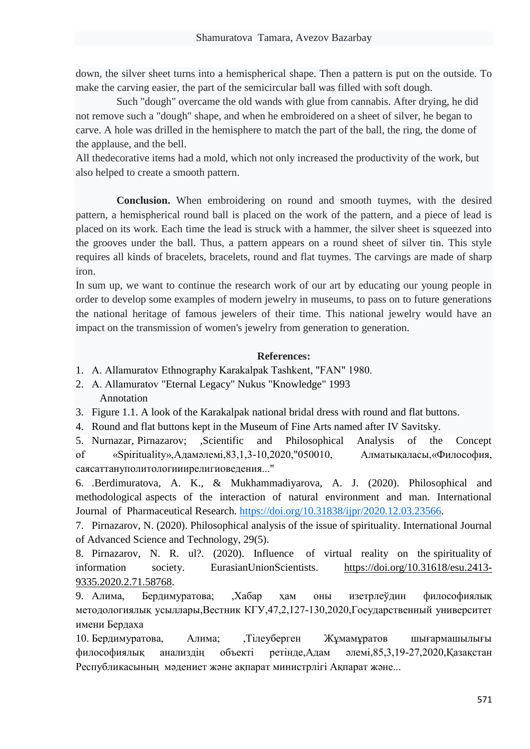down, the silver sheet turns into a hemispherical shape. Then a pattern is put on the outside. To make the carving easier, the part of the semicircular ball was filled with soft dough.

Such "dough" overcame the old wands with glue from cannabis. After drying, he did not remove such a "dough" shape, and when he embroidered on a sheet of silver, he began to carve. A hole was drilled in the hemisphere to match the part of the ball, the ring, the dome of the applause, and the bell.

All thedecorative items had a mold, which not only increased the productivity of the work, but also helped to create a smooth pattern.

**Conclusion.** When embroidering on round and smooth tuymes, with the desired pattern, a hemispherical round ball is placed on the work of the pattern, and a piece of lead is placed on its work. Each time the lead is struck with a hammer, the silver sheet is squeezed into the grooves under the ball. Thus, a pattern appears on a round sheet of silver tin. This style requires all kinds of bracelets, bracelets, round and flat tuymes. The carvings are made of sharp iron.

In sum up, we want to continue the research work of our art by educating our young people in order to develop some examples of modern jewelry in museums, to pass on to future generations the national heritage of famous jewelers of their time. This national jewelry would have an impact on the transmission of women's jewelry from generation to generation.

#### **References:**

- 1. А. Allamuratov Ethnography Karakalpak Tashkent, "FAN" 1980.
- 2. А. Allamuratov "Eternal Legacy" Nukus "Knowledge" 1993 Annotation
- 3. Figure 1.1. A look of the Karakalpak national bridal dress with round and flat buttons.
- 4. Round and flat buttons kept in the Museum of Fine Arts named after IV Savitsky.

5. Nurnazar, Pirnazarov; ,Scientific and Philosophical Analysis of the Concept of «Spirituality»,Адамәлемі,83,1,3-10,2020,"050010, Алматықаласы,«Философия, саясаттануполитологииирелигиоведения..."

6. .Berdimuratova, A. K., & Mukhammadiyarova, A. J. (2020). Philosophical and methodological aspects of the interaction of natural environment and man. International Journal of Pharmaceutical Research. [https://doi.org/10.31838/ijpr/2020.12.03.23566.](https://doi.org/10.31838/ijpr/2020.12.03.23566)

7. Pirnazarov, N. (2020). Philosophical analysis of the issue of spirituality. International Journal of Advanced Science and Technology, 29(5).

8. Pirnazarov, N. R. ul?. (2020). Influence of virtual reality on the spirituality of information society. EurasianUnionScientists. [https://doi.org/10.31618/esu.2413-](https://doi.org/10.31618/esu.2413-9335.2020.2.71.58768) [9335.2020.2.71.58768.](https://doi.org/10.31618/esu.2413-9335.2020.2.71.58768)

9. Алима, Бердимуратова; ,Хабар ҳам оны изетрлеўдин философиялық методологиялық усыллары,Вестник КГУ,47,2,127-130,2020,Государственный университет имени Бердаха

10. Бердимуратова, Алима; ,Тілеуберген Жұмамұратов шығармашылығы философиялық анализдің объекті ретінде,Адам әлемі,85,3,19-27,2020,Қазақстан Республикасының мәдениет және ақпарат министрлiгi Ақпарат және...